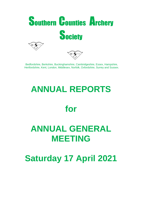

Bedfordshire, Berkshire, Buckinghamshire, Cambridgeshire, Essex, Hampshire, Hertfordshire, Kent, London, Middlesex, Norfolk, Oxfordshire, Surrey and Sussex.

# **ANNUAL REPORTS**

# **for**

# **ANNUAL GENERAL MEETING**

**Saturday 17 April 2021**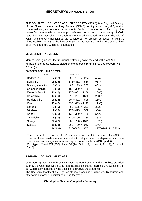THE SOUTHERN COUNTIES ARCHERY SOCIETY (SCAS) is a Regional Society of the Grand National Archery Society (GNAS) trading as Archery GB, and is concerned with, and responsible for, the 14 English Counties east of a rough line drawn from the Wash to the Hampshire/Dorset border. All counties except Suffolk have their own associations; Suffolk archery is administered by Essex. The Isle of Wight and the Channel Islands are considered, for archery purposes, to be part of Hampshire. SCAS is the largest region in the country, having just over a third of all AGB archers within its boundaries.

#### **MEMBERSHIP NUMBERS**

Membership figures for the traditional reckoning point, the end of the last AGB affiliation year 30 Sept 2020, based on membership returns provided by AGB (with '20 in ( ) ):

(format: female  $+$  male  $=$  total)

| clubs                  |          | members          |                    |
|------------------------|----------|------------------|--------------------|
| <b>Bedfordshire</b>    | 12 (12)  | $87 + 187 = 274$ | (494)              |
| <b>Berkshire</b>       | 15(15)   | $175+381 = 556$  | (914)              |
| <b>Buckinghamshire</b> | 11(11)   | $69+193=262$     | (451)              |
| Cambridgeshire         | 19 (19)  | $180+309 = 489$  | (795)              |
| Essex & Suffolk        | 46 (46)  | $276+832=1108$   | (1885)             |
| Hampshire              | 40 (40)  | $512+1166=1678$  | (2586)             |
| Hertfordshire          | 16(16)   | $204+491=695$    | (1152)             |
| Kent                   | 45 (45)  | $333+809=1142$   | (1790)             |
| London                 | 5(5)     | $66+165 = 231$   | (382)              |
| Middlesex              | 19 (19)  | $173+415=588$    | (966)              |
| <b>Norfolk</b>         | 20(20)   | $130+309 = 439$  | (542)              |
| Oxfordshire            | 8(8)     | $139+199 = 338$  | (463)              |
| Surrey                 | 22 (22)  | $303+708=1011$   | (1628)             |
| Sussex                 | 38(38)   | $263+700=963$    | (1464)             |
|                        | 316(316) | $2910+6864=9774$ | (4776+10718=15512) |

 This represents a decrease of 5738 members from the totals recorded for 2019. However, these results are anomalous due to delays in membership renewals due to Covid19 and some vagaries in extracting accurate data from AGB Sport80.

 Club types: Mixed 274 (250), Junior 34 (14), School 4, University 11 (19), Disabled 13 (10).

#### **REGIONAL COUNCIL MEETINGS**

One meeting was held at Brown's Covent Garden, London, and two online, presided over by the Chairman Dr Steve Ellison. Business included finalising CIO Constitution, but was mostly curtailed by the effects of the Covid-19 pandemic

The Secretary thanks all County Secretaries, Coaching Organisers, Treasurers and other officials for their assistance during the year.

#### **Christopher Fletcher-Campbell - Secretary**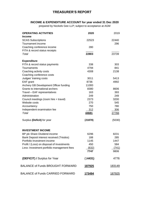# **TREASURER'S REPORT**

### **INCOME & EXPENDITURE ACCOUNT for year ended 31 Dec 2020**

prepared by Nockels Gee LLP; subject to acceptance at AGM

| <b>OPERATING ACTIVITIES</b>                | 2020           | 2019         |
|--------------------------------------------|----------------|--------------|
| <b>Income</b><br><b>SCAS Subscriptions</b> | 22523          | 22440        |
| Tournament income                          |                | 296          |
| Coaching conference income                 | 280            |              |
| FITA & record status receipts              |                |              |
| Total                                      | 22803          | 23739        |
| <b>Expenditure</b>                         |                |              |
| FITA & record status payments              | 338            | 303          |
| Tournaments                                | 4794           | 841          |
| Coaching activity costs                    | 4308           | 2138         |
| Coaching conference costs                  |                |              |
| Judges' training costs                     | 3011           | 5413         |
| EAF grant                                  | 8736           | 4992         |
| Archery GB Development Officer funding     | 11000          |              |
| Grants to international archers            | 8380           | 8606         |
| Travel - EAF representatives               | 163            | 393          |
| Administration                             | 249            | 249          |
| Council meetings (room hire + travel)      | 2373           | 3200         |
| Website costs                              | 270            | 545          |
| Accountancy                                | 750            | 780          |
| Independent examination fee                | 312            | 306          |
| Total                                      | 44681          | <u>27766</u> |
| Surplus (Deficit) for year                 | (21878)        | (5030)       |
| <b>INVESTMENT INCOME</b>                   |                |              |
| BP plc Share Dividend income               | 6296           | 8231         |
| Bank Deposit interest received (Triodos)   | 188            | 285          |
| Portfolio Investment income                | 1145           | 1447         |
| Profit / (Loss) on disposal of investments | 450            | 584          |
| Less: Investment portfolio management fees | (632)          | (741)        |
|                                            | 7747           | 9806         |
| (DEFICIT) / Surplus for Year               | (14431)        | 4776         |
| <b>BALANCE of Funds BROUGHT FORWARD</b>    | 187925         | 183149       |
| <b>BALANCE of Funds CARRIED FORWARD</b>    | <u> 173494</u> | 187925       |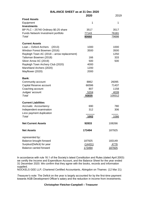|                                                     | <b>BALANCE SHEET as at 31 Dec 2020</b> |               |  |  |  |  |
|-----------------------------------------------------|----------------------------------------|---------------|--|--|--|--|
|                                                     | 2020                                   | 2019          |  |  |  |  |
| <b>Fixed Assets</b>                                 |                                        |               |  |  |  |  |
| Equipment                                           | 1                                      | 1             |  |  |  |  |
| <b>Investments</b>                                  |                                        |               |  |  |  |  |
| BP PLC - 25740 Ordinary \$0.25 share                | 3517                                   | 3517          |  |  |  |  |
| Funds Network Investment portfolio                  | 77143                                  | 76181         |  |  |  |  |
| Total                                               | 80660                                  | 79698         |  |  |  |  |
| <b>Current Assets</b>                               |                                        |               |  |  |  |  |
| Loan - Oxford Archers<br>(2013)                     | 1000                                   | 1000          |  |  |  |  |
| Windsor Forest Bowmen (2016)                        | 3500                                   | 3500          |  |  |  |  |
| Rayleigh Town AC (2018 – arrow replacement)         |                                        | 1250          |  |  |  |  |
| Talisman Bowmen (2018)                              | 166                                    | 333           |  |  |  |  |
| Silver Arrow AC (2019)                              | 500                                    | 500           |  |  |  |  |
| Rayleigh Town Archery Club (2020)                   | 4000                                   |               |  |  |  |  |
| Marshland Archers (2020)                            | 1200                                   |               |  |  |  |  |
| Mayflower (2020)                                    | 2000                                   |               |  |  |  |  |
| <b>Bank:</b>                                        |                                        |               |  |  |  |  |
| Community account                                   | 8862                                   | 26095         |  |  |  |  |
| Capital Reserve account                             | 66596                                  | 71437         |  |  |  |  |
| Coaching account                                    | 807                                    | 1158          |  |  |  |  |
| Judges' account                                     | 5204                                   | 4039          |  |  |  |  |
| Total                                               | 93835                                  | 109312        |  |  |  |  |
| <b>Current Liabilities</b>                          |                                        |               |  |  |  |  |
| Accruals: Accountancy                               | 690                                    | 780           |  |  |  |  |
| Independent examination<br>Less payment duplication | 312                                    | 306           |  |  |  |  |
| Total                                               | 1002                                   | 1086          |  |  |  |  |
| <b>Net Current Assets</b>                           | 92833                                  | 108266        |  |  |  |  |
|                                                     |                                        |               |  |  |  |  |
| <b>Net Assets</b>                                   | 173494                                 | 187925        |  |  |  |  |
| represented by:                                     |                                        |               |  |  |  |  |
| Balance brought forward                             | 187925                                 | 183149        |  |  |  |  |
| Surplus/(Deficit) for year                          | (14431)                                | 4776          |  |  |  |  |
| <b>Balance carried forward</b>                      | 173494                                 | <u>187925</u> |  |  |  |  |

In accordance with rule 16.1 of the Society's latest Constitution and Rules (dated April 2003) we certify the Income and Expenditure Account, and the Balance Sheet for the year ended 31 December 2020. We confirm that they agree with the books, records and information supplied.

NOCKELS GEE LLP, Chartered Certified Accountants, Abingdon on Thames (12 Mar 21)

*Treasurer's note*: The Deficit on the year is largely accounted for by the first-time payment towards AGB Development Officer's salary and the reduction in income from investments.

#### **Christopher Fletcher-Campbell – Treasurer**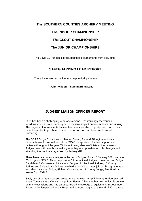# **The SOUTHERN COUNTIES ARCHERY MEETING The INDOOR CHAMPIONSHIP The CLOUT CHAMPIONSHIP The JUNIOR CHAMPIONSHIPS**

The Covid-19 Pandemic precluded these tournaments from occurring.

### **SAFEGUARDING LEAD REPORT**

There have been no incidents to report during the year.

**John Willson – Safeguarding Lead**

# **JUDGES' LIAISON OFFICER REPORT**

2020 has been a challenging year for everyone. Unsurprisingly the various lockdowns and social distancing had a massive impact on tournaments and judging. The majority of tournaments have either been cancelled or postponed, and if they have been able to go ahead it is with restrictions on numbers due to social distancing.

The SCAS Judge Committee of Hannah Brown, Richard Pilkington and Katy Lipscomb, would like to thank all the SCAS Judges team for their support and patience throughout the year. Whilst not being able to officiate at tournaments Judges have still been busy making sure they are up to date on rule changes and attending the webinars organised by Archery GB.

There have been a few changes in the list of Judges. As at  $1<sup>st</sup>$  January 2021 we have 55 Judges in SCAS. This comprises of 3 International Judges, 1 International Judge Candidate, 2 Continental, 13 National Judges, 12 Regional Judges, 15 County Judges and 9 Candidate Judges. We had 2 new Candidates join us through the year and also 1 National Judge, Richard Custance, and 1 County Judge, Sue Houlihan, join us from EMAS.

Sadly two of our team passed away during the year. In April Tommy Hodder passed away. Tommy was a County Judge from Essex. A keen archer he shot for his country on many occasions and had an unparalleled knowledge of equipment. In December Roger McMullen passed away. Roger retired from Judging at the end of 2014 after a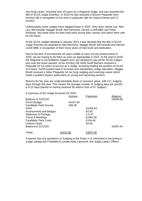very long career, including over 20 years as a Regional Judge, and was awarded the title of SCAS Judge Emeritus. In 2018 he was awarded a Bronze Plaquette from Archery GB in recognition of his work in particular with the Island Games and VI archery.

Unfortunately some Judges have stepped down in 2020. They were Jackie Lee, Nick Lee, Bill Kinsella, Maggie Woolf, Neil Dimmock, Derrick Lovell MBE and Peter Stickings. We thank them for their hard work during their careers and which them well for the future.

At the SCAS Judges Meeting in January 2021 it was decided that the title of SCAS Judge Emeritus be awarded to Neil Dimmock, Maggie Woolf, Bill Kinsella and Derrick Lovell MBE in recognition of their many years of hard work and dedication.

Due to the lack of tournaments we were unable to carry out any assessments in 2020, we are hoping to do them as soon as appropriate in 2021. At the start of 2020 the Regional re-accreditation happen and I am pleased to say all the SCAS Judges who took the exam passed. At the Archery GB AGM Geoff Barham received a Plaquette for his years of service as a Judge, including holding the position of SCAS JLO twice, Geoff worked hard to increase and standardise Judge education. Maggie Woolf received a Silver Plaquette for her long Judging and coaching career which made a positive impact, particularly on young and upcoming archers.

Returns for the year are understandably down on previous years. with 211 Judging days through the year. This means the average number of Judging days per person is 4.22 days (based on having received 50 returns from of 57 Judges).

| A summary of the Judge Accounts for 2020 - |          |                 |                |
|--------------------------------------------|----------|-----------------|----------------|
|                                            | Income   | <b>Expenses</b> | <b>Balance</b> |
| Balance at 01/01/20                        |          |                 | £4038.89       |
| <b>SCAS Budget</b>                         | £4147.00 |                 |                |
| Candidate Pack Income                      | £66.00   |                 |                |
| AGM                                        |          | £1056.54        |                |
| Assessments and Badges                     |          | £0.00           |                |
| Stationary & Postage                       |          | £-5.37          |                |
| <b>Travel &amp; Meetings</b>               |          | £1891.80        |                |
| <b>Candidate Pack Costs</b>                |          | £104.48         |                |
| Uniform Grant                              |          | £0.00           |                |
| Balance at 31/12/20                        |          |                 | £5204.44       |
| Totals                                     | £4213.00 | £3047.45        |                |

If anyone has any questions on Judging or the Rules or is interested in becoming a Judge, please don't hesitate to contact Katy Lipscomb, the Judge Liaison Officer.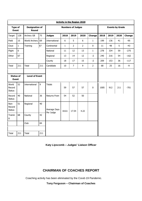|                                                           | <b>Activity in the Region 2020</b> |                                |     |                          |              |                |                |                        |      |      |      |        |
|-----------------------------------------------------------|------------------------------------|--------------------------------|-----|--------------------------|--------------|----------------|----------------|------------------------|------|------|------|--------|
| <b>Type of</b><br><b>Event</b>                            |                                    | <b>Designation of</b><br>Round |     | <b>Numbers of Judges</b> |              |                |                | <b>Events by Grade</b> |      |      |      |        |
| Target                                                    | 128                                | Archery GB                     | 75  | <b>Judges</b>            | 2018         | 2019           | 2020           | Change                 | 2018 | 2019 | 2020 | Change |
| Field                                                     | 15                                 | <b>World Archery</b>           | 69  | International            | $6\,$        | 5              | $6\,$          | $\mathbf{1}$           | 199  | 136  | 41   | $-95$  |
| Clout                                                     | $\mathbf{1}$                       | Training                       | 67  | Continental              | $\mathbf{1}$ | $\overline{2}$ | $\overline{2}$ | 0                      | 11   | 48   | 5    | $-43$  |
| Flight                                                    | $\pmb{0}$                          |                                |     | National                 | 11           | 12             | 13             | $\mathbf{1}$           | 278  | 334  | 59   | $-275$ |
| Other                                                     | 67                                 |                                |     | Regional                 | 13           | 14             | 12             | $-2$                   | 240  | 216  | 54   | $-162$ |
|                                                           |                                    |                                |     | County                   | 18           | 17             | 15             | $-2$                   | 209  | 153  | 36   | $-117$ |
| Total                                                     | 211                                | Total                          | 211 | Candidate                | $10\,$       | $\overline{7}$ | 9              | $\overline{2}$         | 68   | 25   | 16   | $-9$   |
|                                                           |                                    |                                |     |                          |              |                |                |                        |      |      |      |        |
| <b>Status of</b><br><b>Level of Event</b><br><b>Event</b> |                                    |                                |     |                          |              |                |                |                        |      |      |      |        |
| World<br>Record<br><b>Status</b>                          | 52                                 | International                  | 9   | <b>Totals</b>            | 59           | 57             | 57             | 0                      | 1005 | 912  | 211  | $-701$ |
| Record<br><b>Status</b>                                   | 40                                 | National                       | 36  | Returns From             | 54           | 52             | 50             |                        |      |      |      |        |
| Non-<br>Record<br><b>Status</b>                           | 51                                 | Regional                       | 40  | Average Days             | 18.61        | 17.54          | 4.22           |                        |      |      |      |        |
| Trainin<br>g                                              | 68                                 | County                         | 42  | Per Judge                |              |                |                |                        |      |      |      |        |
|                                                           |                                    | Club                           | 84  |                          |              |                |                |                        |      |      |      |        |
|                                                           |                                    |                                |     |                          |              |                |                |                        |      |      |      |        |
| <b>Total</b>                                              | 211                                | Total                          | 211 |                          |              |                |                |                        |      |      |      |        |

**Katy Lipscomb – Judges' Liaison Officer**

# **CHAIRMAN OF COACHES REPORT**

Coaching activity has been eliminated by the Covid-19 Pandemic.

**Tony Ferguson – Chairman of Coaches**